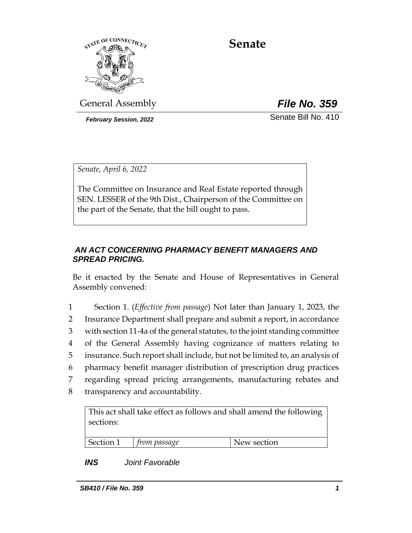

# **Senate**

General Assembly *File No. 359*

*February Session, 2022* Senate Bill No. 410

*Senate, April 6, 2022*

The Committee on Insurance and Real Estate reported through SEN. LESSER of the 9th Dist., Chairperson of the Committee on the part of the Senate, that the bill ought to pass.

## *AN ACT CONCERNING PHARMACY BENEFIT MANAGERS AND SPREAD PRICING.*

Be it enacted by the Senate and House of Representatives in General Assembly convened:

 Section 1. (*Effective from passage*) Not later than January 1, 2023, the Insurance Department shall prepare and submit a report, in accordance with section 11-4a of the general statutes, to the joint standing committee of the General Assembly having cognizance of matters relating to insurance. Such report shall include, but not be limited to, an analysis of pharmacy benefit manager distribution of prescription drug practices regarding spread pricing arrangements, manufacturing rebates and transparency and accountability.

This act shall take effect as follows and shall amend the following sections:

| Section 1 | trom passage | New section |
|-----------|--------------|-------------|

# *INS Joint Favorable*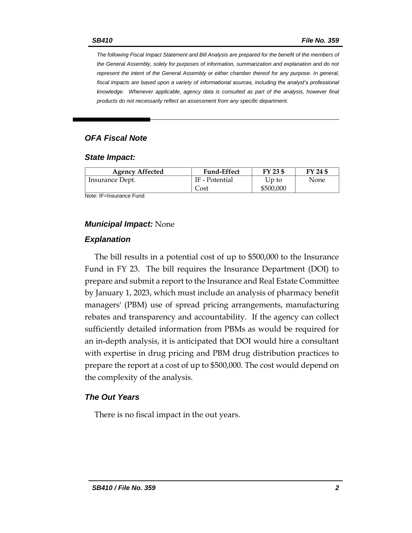*The following Fiscal Impact Statement and Bill Analysis are prepared for the benefit of the members of the General Assembly, solely for purposes of information, summarization and explanation and do not represent the intent of the General Assembly or either chamber thereof for any purpose. In general, fiscal impacts are based upon a variety of informational sources, including the analyst's professional knowledge. Whenever applicable, agency data is consulted as part of the analysis, however final products do not necessarily reflect an assessment from any specific department.*

## *OFA Fiscal Note*

#### *State Impact:*

| <b>Agency Affected</b> | <b>Fund-Effect</b> | FY 23 \$  | FY 24 \$ |
|------------------------|--------------------|-----------|----------|
| Insurance Dept.        | IF - Potential     | Up to     | None     |
|                        | Cost               | \$500,000 |          |

Note: IF=Insurance Fund

#### *Municipal Impact:* None

#### *Explanation*

The bill results in a potential cost of up to \$500,000 to the Insurance Fund in FY 23. The bill requires the Insurance Department (DOI) to prepare and submit a report to the Insurance and Real Estate Committee by January 1, 2023, which must include an analysis of pharmacy benefit managers' (PBM) use of spread pricing arrangements, manufacturing rebates and transparency and accountability. If the agency can collect sufficiently detailed information from PBMs as would be required for an in-depth analysis, it is anticipated that DOI would hire a consultant with expertise in drug pricing and PBM drug distribution practices to prepare the report at a cost of up to \$500,000. The cost would depend on the complexity of the analysis.

#### *The Out Years*

There is no fiscal impact in the out years.